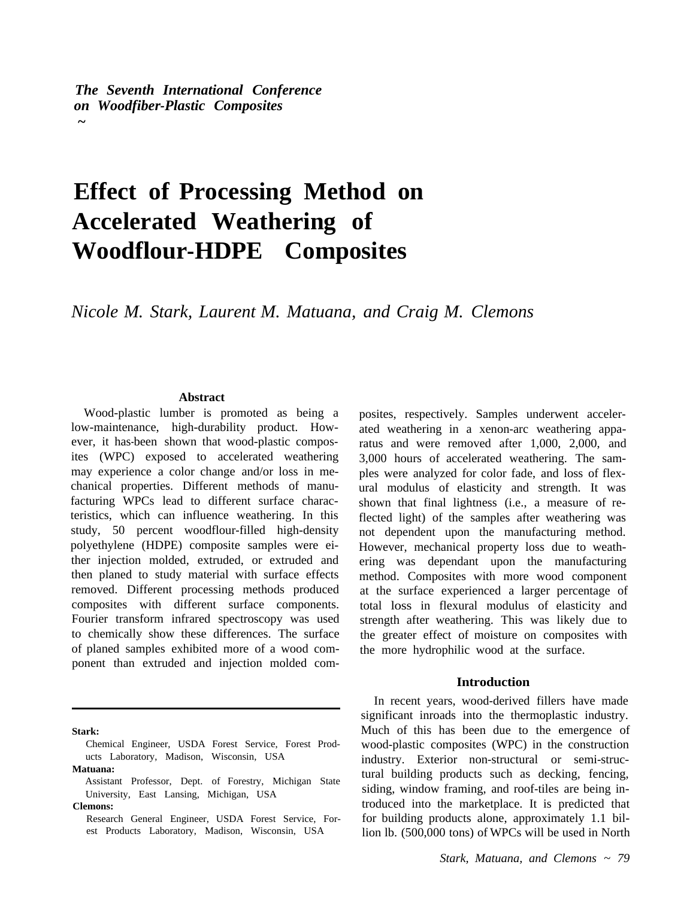*The Seventh International Conference on Woodfiber-Plastic Composites ~* 

# **Effect of Processing Method on Accelerated Weathering of Woodflour-HDPE Composites**

*Nicole M. Stark, Laurent M. Matuana, and Craig M. Clemons* 

#### **Abstract**

Wood-plastic lumber is promoted as being a low-maintenance, high-durability product. However, it has-been shown that wood-plastic composites (WPC) exposed to accelerated weathering may experience a color change and/or loss in mechanical properties. Different methods of manufacturing WPCs lead to different surface characteristics, which can influence weathering. In this study, 50 percent woodflour-filled high-density polyethylene (HDPE) composite samples were either injection molded, extruded, or extruded and then planed to study material with surface effects removed. Different processing methods produced composites with different surface components. Fourier transform infrared spectroscopy was used to chemically show these differences. The surface of planed samples exhibited more of a wood component than extruded and injection molded com-

**Stark:** 

**Clemons:** 

posites, respectively. Samples underwent accelerated weathering in a xenon-arc weathering apparatus and were removed after 1,000, 2,000, and 3,000 hours of accelerated weathering. The samples were analyzed for color fade, and loss of flexural modulus of elasticity and strength. It was shown that final lightness (i.e., a measure of reflected light) of the samples after weathering was not dependent upon the manufacturing method. However, mechanical property loss due to weathering was dependant upon the manufacturing method. Composites with more wood component at the surface experienced a larger percentage of total loss in flexural modulus of elasticity and strength after weathering. This was likely due to the greater effect of moisture on composites with the more hydrophilic wood at the surface.

#### **Introduction**

In recent years, wood-derived fillers have made significant inroads into the thermoplastic industry. Much of this has been due to the emergence of wood-plastic composites (WPC) in the construction industry. Exterior non-structural or semi-structural building products such as decking, fencing, siding, window framing, and roof-tiles are being introduced into the marketplace. It is predicted that for building products alone, approximately 1.1 billion lb. (500,000 tons) of WPCs will be used in North

Chemical Engineer, USDA Forest Service, Forest Products Laboratory, Madison, Wisconsin, USA **Matuana:** 

Assistant Professor, Dept. of Forestry, Michigan State University, East Lansing, Michigan, USA

Research General Engineer, USDA Forest Service, Forest Products Laboratory, Madison, Wisconsin, USA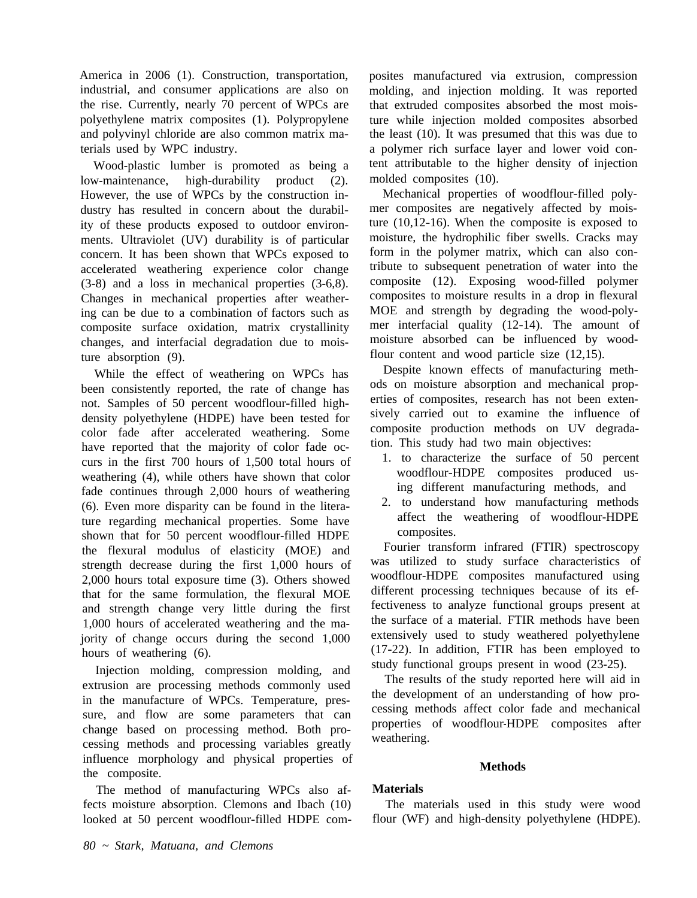<span id="page-1-0"></span>America in 2006 (1). Construction, transportation, industrial, and consumer applications are also on the rise. Currently, nearly 70 percent of WPCs are polyethylene matrix composites (1). Polypropylene and polyvinyl chloride are also common matrix materials used by WPC industry.

Wood-plastic lumber is promoted as being a low-maintenance, high-durability product (2). However, the use of WPCs by the construction industry has resulted in concern about the durability of these products exposed to outdoor environments. Ultraviolet (UV) durability is of particular concern. It has been shown that WPCs exposed to accelerated weathering experience color change (3-8) and a loss in mechanical properties (3-6,8). Changes in mechanical properties after weathering can be due to a combination of factors such as composite surface oxidation, matrix crystallinity changes, and interfacial degradation due to moisture absorption (9).

While the effect of weathering on WPCs has been consistently reported, the rate of change has not. Samples of 50 percent woodflour-filled highdensity polyethylene (HDPE) have been tested for color fade after accelerated weathering. Some have reported that the majority of color fade occurs in the first 700 hours of 1,500 total hours of weathering (4), while others have shown that color fade continues through 2,000 hours of weathering (6). Even more disparity can be found in the literature regarding mechanical properties. Some have shown that for 50 percent woodflour-filled HDPE the flexural modulus of elasticity (MOE) and strength decrease during the first 1,000 hours of 2,000 hours total exposure time (3). Others showed that for the same formulation, the flexural MOE and strength change very little during the first 1,000 hours of accelerated weathering and the majority of change occurs during the second 1,000 hours of weathering (6).

Injection molding, compression molding, and extrusion are processing methods commonly used in the manufacture of WPCs. Temperature, pressure, and flow are some parameters that can change based on processing method. Both processing methods and processing variables greatly influence morphology and physical properties of the composite.

The method of manufacturing WPCs also affects moisture absorption. Clemons and Ibach (10) looked at 50 percent woodflour-filled HDPE composites manufactured via extrusion, compression molding, and injection molding. It was reported that extruded composites absorbed the most moisture while injection molded composites absorbed the least (10). It was presumed that this was due to a polymer rich surface layer and lower void content attributable to the higher density of injection molded composites (10).

Mechanical properties of woodflour-filled polymer composites are negatively affected by moisture (10,12-16). When the composite is exposed to moisture, the hydrophilic fiber swells. Cracks may form in the polymer matrix, which can also contribute to subsequent penetration of water into the composite (12). Exposing wood-filled polymer composites to moisture results in a drop in flexural MOE and strength by degrading the wood-polymer interfacial quality (12-14). The amount of moisture absorbed can be influenced by woodflour content and wood particle size (12,15).

Despite known effects of manufacturing methods on moisture absorption and mechanical properties of composites, research has not been extensively carried out to examine the influence of composite production methods on UV degradation. This study had two main objectives:

- 1. to characterize the surface of 50 percent woodflour-HDPE composites produced using different manufacturing methods, and
- 2. to understand how manufacturing methods affect the weathering of woodflour-HDPE composites.

Fourier transform infrared (FTIR) spectroscopy was utilized to study surface characteristics of woodflour-HDPE composites manufactured using different processing techniques because of its effectiveness to analyze functional groups present at the surface of a material. FTIR methods have been extensively used to study weathered polyethylene (17-22). In addition, FTIR has been employed to study functional groups present in wood (23-25).

The results of the study reported here will aid in the development of an understanding of how processing methods affect color fade and mechanical properties of woodflour-HDPE composites after weathering.

# **Methods**

# **Materials**

The materials used in this study were wood flour (WF) and high-density polyethylene (HDPE).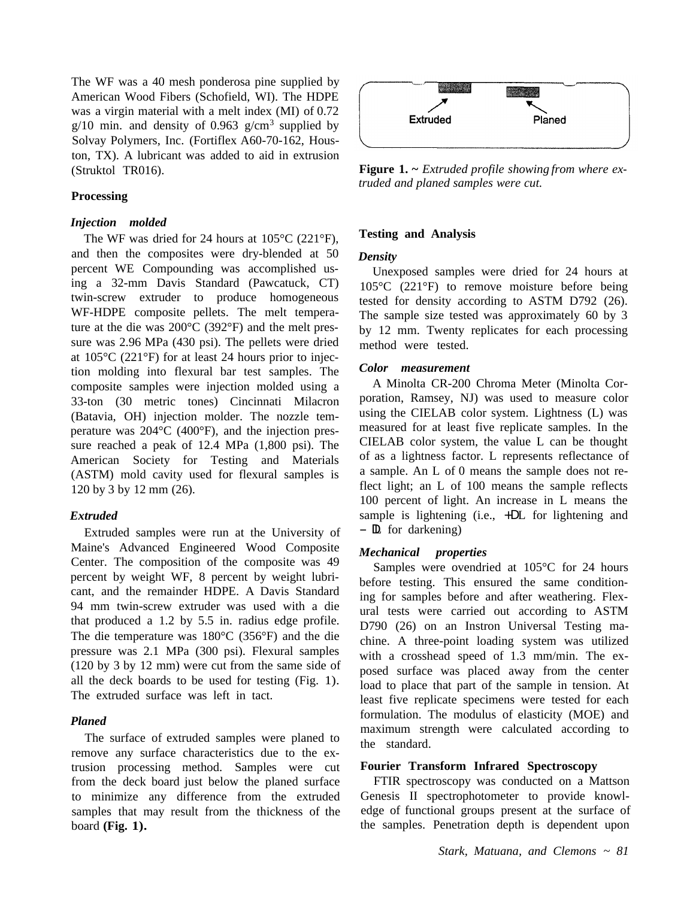The WF was a 40 mesh ponderosa pine supplied by American Wood Fibers (Schofield, WI). The HDPE was a virgin material with a melt index (MI) of 0.72 g/10 min. and density of 0.963 g/cm<sup>3</sup> supplied by Solvay Polymers, Inc. (Fortiflex A60-70-162, Houston, TX). A lubricant was added to aid in extrusion (Struktol TR016).

# **Processing**

### *Injection molded*

The WF was dried for 24 hours at 105°C (221°F), and then the composites were dry-blended at 50 percent WE Compounding was accomplished using a 32-mm Davis Standard (Pawcatuck, CT) twin-screw extruder to produce homogeneous WF-HDPE composite pellets. The melt temperature at the die was 200°C (392°F) and the melt pressure was 2.96 MPa (430 psi). The pellets were dried at 105°C (221°F) for at least 24 hours prior to injection molding into flexural bar test samples. The composite samples were injection molded using a 33-ton (30 metric tones) Cincinnati Milacron (Batavia, OH) injection molder. The nozzle temperature was 204°C (400°F), and the injection pressure reached a peak of 12.4 MPa (1,800 psi). The American Society for Testing and Materials (ASTM) mold cavity used for flexural samples is 120 by 3 by 12 mm (26).

# *Extruded*

Extruded samples were run at the University of Maine's Advanced Engineered Wood Composite Center. The composition of the composite was 49 percent by weight WF, 8 percent by weight lubricant, and the remainder HDPE. A Davis Standard 94 mm twin-screw extruder was used with a die that produced a 1.2 by 5.5 in. radius edge profile. The die temperature was 180°C (356°F) and the die pressure was 2.1 MPa (300 psi). Flexural samples (120 by 3 by 12 mm) were cut from the same side of all the deck boards to be used for testing (Fig. 1). The extruded surface was left in tact.

## *Planed*

The surface of extruded samples were planed to remove any surface characteristics due to the extrusion processing method. Samples were cut from the deck board just below the planed surface to minimize any difference from the extruded samples that may result from the thickness of the board **(Fig. 1).** 



**Figure 1. ~** *Extruded profile showing from where extruded and planed samples were cut.* 

## **Testing and Analysis**

#### *Density*

Unexposed samples were dried for 24 hours at 105°C (221°F) to remove moisture before being tested for density according to ASTM D792 (26). The sample size tested was approximately 60 by 3 by 12 mm. Twenty replicates for each processing method were tested.

#### *Color measurement*

A Minolta CR-200 Chroma Meter (Minolta Corporation, Ramsey, NJ) was used to measure color using the CIELAB color system. Lightness (L) was measured for at least five replicate samples. In the CIELAB color system, the value L can be thought of as a lightness factor. L represents reflectance of a sample. An L of 0 means the sample does not reflect light; an L of 100 means the sample reflects 100 percent of light. An increase in L means the sample is lightening (i.e.,  $+DL$  for lightening and  $-$ **L** for darkening)

## *Mechanical properties*

Samples were ovendried at 105°C for 24 hours before testing. This ensured the same conditioning for samples before and after weathering. Flexural tests were carried out according to ASTM D790 (26) on an Instron Universal Testing machine. A three-point loading system was utilized with a crosshead speed of 1.3 mm/min. The exposed surface was placed away from the center load to place that part of the sample in tension. At least five replicate specimens were tested for each formulation. The modulus of elasticity (MOE) and maximum strength were calculated according to the standard.

#### **Fourier Transform Infrared Spectroscopy**

FTIR spectroscopy was conducted on a Mattson Genesis II spectrophotometer to provide knowledge of functional groups present at the surface of the samples. Penetration depth is dependent upon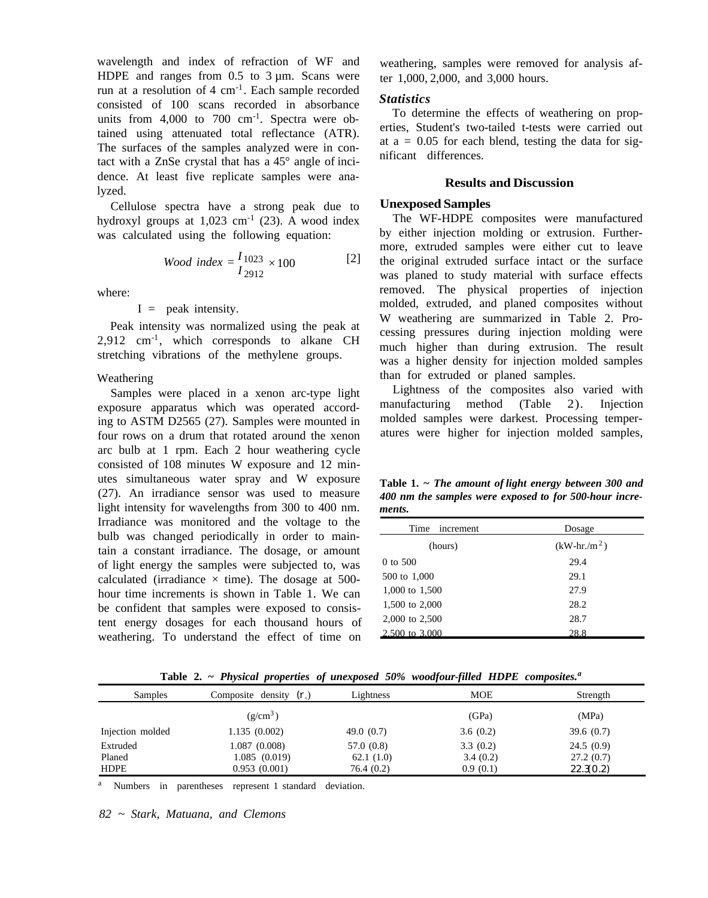wavelength and index of refraction of WF and HDPE and ranges from  $0.5$  to  $3 \mu$ m. Scans were run at a resolution of  $4 \text{ cm}^{-1}$ . Each sample recorded consisted of 100 scans recorded in absorbance units from  $4,000$  to  $700 \text{ cm}^{-1}$ . Spectra were obtained using attenuated total reflectance (ATR). The surfaces of the samples analyzed were in contact with a ZnSe crystal that has a 45° angle of incidence. At least five replicate samples were analyzed.

Cellulose spectra have a strong peak due to hydroxyl groups at  $1,023$  cm<sup>-1</sup> (23). A wood index was calculated using the following equation:

*Wood index* = 
$$
\frac{I_{1023}}{I_{2912}} \times 100
$$
 [2]

where:

 $I =$  peak intensity.

Peak intensity was normalized using the peak at  $2,912$  cm<sup>-1</sup>, which corresponds to alkane CH stretching vibrations of the methylene groups.

# Weathering

Samples were placed in a xenon arc-type light exposure apparatus which was operated according to ASTM D2565 (27). Samples were mounted in four rows on a drum that rotated around the xenon arc bulb at 1 rpm. Each 2 hour weathering cycle consisted of 108 minutes W exposure and 12 minutes simultaneous water spray and W exposure (27). An irradiance sensor was used to measure light intensity for wavelengths from 300 to 400 nm. Irradiance was monitored and the voltage to the bulb was changed periodically in order to maintain a constant irradiance. The dosage, or amount of light energy the samples were subjected to, was calculated (irradiance  $\times$  time). The dosage at 500hour time increments is shown in Table 1. We can be confident that samples were exposed to consistent energy dosages for each thousand hours of weathering. To understand the effect of time on

weathering, samples were removed for analysis after 1,000, 2,000, and 3,000 hours.

#### *Statistics*

To determine the effects of weathering on properties, Student's two-tailed t-tests were carried out at  $a = 0.05$  for each blend, testing the data for significant differences.

### **Results and Discussion**

#### **Unexposed Samples**

The WF-HDPE composites were manufactured by either injection molding or extrusion. Furthermore, extruded samples were either cut to leave the original extruded surface intact or the surface was planed to study material with surface effects removed. The physical properties of injection molded, extruded, and planed composites without W weathering are summarized in Table 2. Processing pressures during injection molding were much higher than during extrusion. The result was a higher density for injection molded samples than for extruded or planed samples.

Lightness of the composites also varied with manufacturing method (Table 2). Injection molded samples were darkest. Processing temperatures were higher for injection molded samples,

**Table 1. ~** *The amount of light energy between 300 and 400 nm the samples were exposed to for 500-hour increments.* 

| Time<br>increment | Dosage         |  |  |
|-------------------|----------------|--|--|
| (hours)           | $(kW-hr./m^2)$ |  |  |
| $0$ to 500        | 29.4           |  |  |
| 500 to 1,000      | 29.1           |  |  |
| 1,000 to 1,500    | 27.9           |  |  |
| 1,500 to 2,000    | 28.2           |  |  |
| 2,000 to 2,500    | 28.7           |  |  |
| 2,500 to 3,000    | 28.8           |  |  |

**Table 2. ~** *Physical properties of unexposed 50% woodfour-filled HDPE composites. a* 

| Samples          | Composite density $(r_c)$ | Lightness    | <b>MOE</b> | Strength  |
|------------------|---------------------------|--------------|------------|-----------|
|                  | $(g/cm^3)$                |              | (GPa)      | (MPa)     |
| Injection molded | 1.135(0.002)              | 49.0 $(0.7)$ | 3.6(0.2)   | 39.6(0.7) |
| Extruded         | 1.087 (0.008)             | 57.0 (0.8)   | 3.3(0.2)   | 24.5(0.9) |
| Planed           | 1.085 (0.019)             | 62.1(1.0)    | 3.4(0.2)   | 27.2(0.7) |
| <b>HDPE</b>      | 0.953(0.001)              | 76.4(0.2)    | 0.9(0.1)   | 22.3(0.2) |

<sup>a</sup> Numbers in parentheses represent 1 standard deviation.

*82 ~ Stark, Matuana, and Clemons*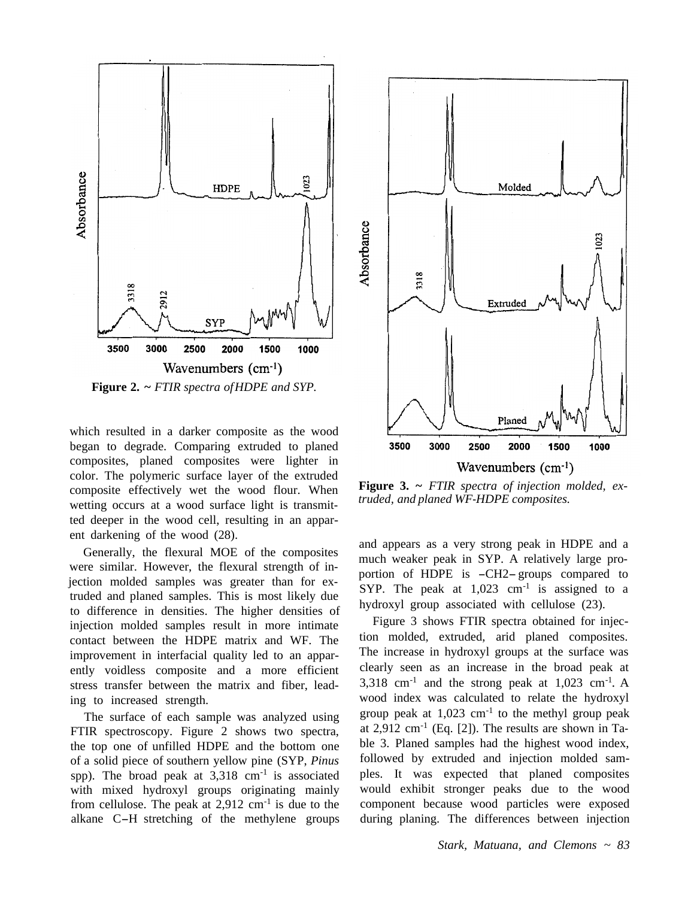

**Figure 2. ~** *FTIR spectra of HDPE and SYP.* 

which resulted in a darker composite as the wood began to degrade. Comparing extruded to planed composites, planed composites were lighter in color. The polymeric surface layer of the extruded composite effectively wet the wood flour. When wetting occurs at a wood surface light is transmitted deeper in the wood cell, resulting in an apparent darkening of the wood (28).

Generally, the flexural MOE of the composites were similar. However, the flexural strength of injection molded samples was greater than for extruded and planed samples. This is most likely due to difference in densities. The higher densities of injection molded samples result in more intimate contact between the HDPE matrix and WF. The improvement in interfacial quality led to an apparently voidless composite and a more efficient stress transfer between the matrix and fiber, leading to increased strength.

The surface of each sample was analyzed using FTIR spectroscopy. Figure 2 shows two spectra, the top one of unfilled HDPE and the bottom one of a solid piece of southern yellow pine (SYP, *Pinus*  spp). The broad peak at  $3.318 \text{ cm}^{-1}$  is associated with mixed hydroxyl groups originating mainly from cellulose. The peak at  $2.912 \text{ cm}^{-1}$  is due to the alkane C-H stretching of the methylene groups



**Figure 3. ~** *FTIR spectra of injection molded, extruded, and planed WF-HDPE composites.* 

and appears as a very strong peak in HDPE and a much weaker peak in SYP. A relatively large proportion of HDPE is -CH2- groups compared to SYP. The peak at  $1,023$  cm<sup>-1</sup> is assigned to a hydroxyl group associated with cellulose (23).

Figure 3 shows FTIR spectra obtained for injection molded, extruded, arid planed composites. The increase in hydroxyl groups at the surface was clearly seen as an increase in the broad peak at 3,318 cm<sup>-1</sup> and the strong peak at  $1,023$  cm<sup>-1</sup>. A wood index was calculated to relate the hydroxyl group peak at  $1,023$  cm<sup>-1</sup> to the methyl group peak at  $2,912$  cm<sup>-1</sup> (Eq. [2]). The results are shown in Ta[ble 3.](#page-5-0) Planed samples had the highest wood index, followed by extruded and injection molded samples. It was expected that planed composites would exhibit stronger peaks due to the wood component because wood particles were exposed during planing. The differences between injection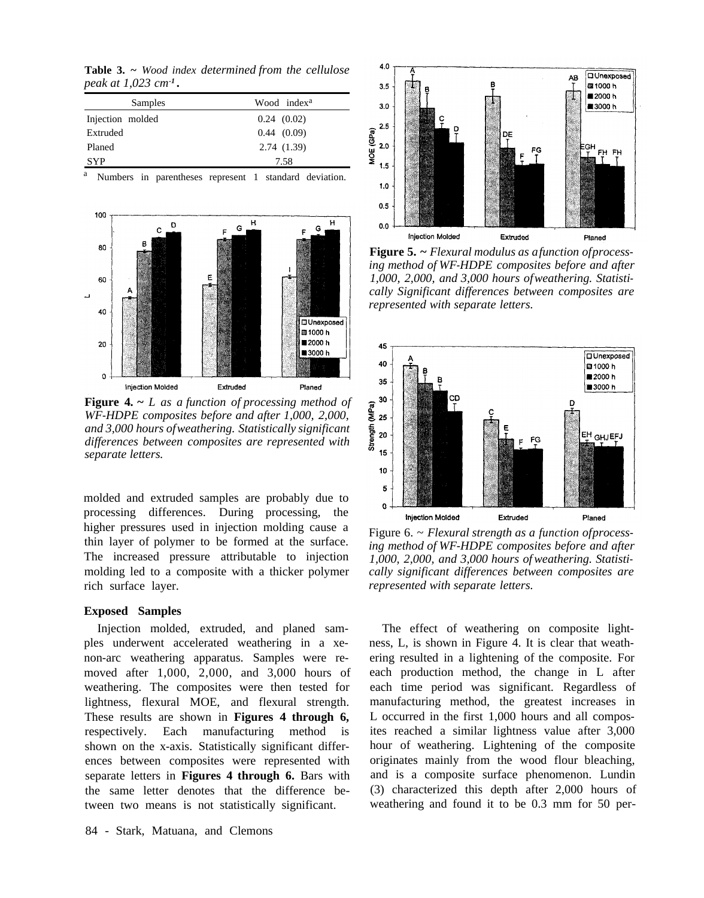<span id="page-5-0"></span>**Table 3. ~** *Wood index determined from the cellulose peak at 1,023 cm -1 .* 

| Samples          | Wood index <sup>a</sup> |
|------------------|-------------------------|
| Injection molded | 0.24(0.02)              |
| Extruded         | 0.44(0.09)              |
| Planed           | 2.74(1.39)              |
| <b>SYP</b>       | 7.58                    |

Numbers in parentheses represent 1 standard deviation.



**Figure 4. ~** *L as a function of processing method of WF-HDPE composites before and after 1,000, 2,000, and 3,000 hours of weathering. Statistically significant differences between composites are represented with separate letters.* 

molded and extruded samples are probably due to processing differences. During processing, the higher pressures used in injection molding cause a thin layer of polymer to be formed at the surface. The increased pressure attributable to injection molding led to a composite with a thicker polymer rich surface layer.

#### **Exposed Samples**

Injection molded, extruded, and planed samples underwent accelerated weathering in a xenon-arc weathering apparatus. Samples were removed after 1,000, 2,000, and 3,000 hours of weathering. The composites were then tested for lightness, flexural MOE, and flexural strength. These results are shown in **Figures 4 through 6,**  respectively. Each manufacturing method is shown on the x-axis. Statistically significant differences between composites were represented with separate letters in **Figures 4 through 6.** Bars with the same letter denotes that the difference between two means is not statistically significant.



**Figure 5. ~** *Flexural modulus as a function of processing method of WF-HDPE composites before and after 1,000, 2,000, and 3,000 hours of weathering. Statistically Significant differences between composites are represented with separate letters.* 



Figure 6. ~ *Flexural strength as a function of processing method of WF-HDPE composites before and after 1,000, 2,000, and 3,000 hours of weathering. Statistically significant differences between composites are represented with separate letters.* 

The effect of weathering on composite lightness, L, is shown in Figure 4. It is clear that weathering resulted in a lightening of the composite. For each production method, the change in L after each time period was significant. Regardless of manufacturing method, the greatest increases in L occurred in the first 1,000 hours and all composites reached a similar lightness value after 3,000 hour of weathering. Lightening of the composite originates mainly from the wood flour bleaching, and is a composite surface phenomenon. Lundin (3) characterized this depth after 2,000 hours of weathering and found it to be 0.3 mm for 50 per-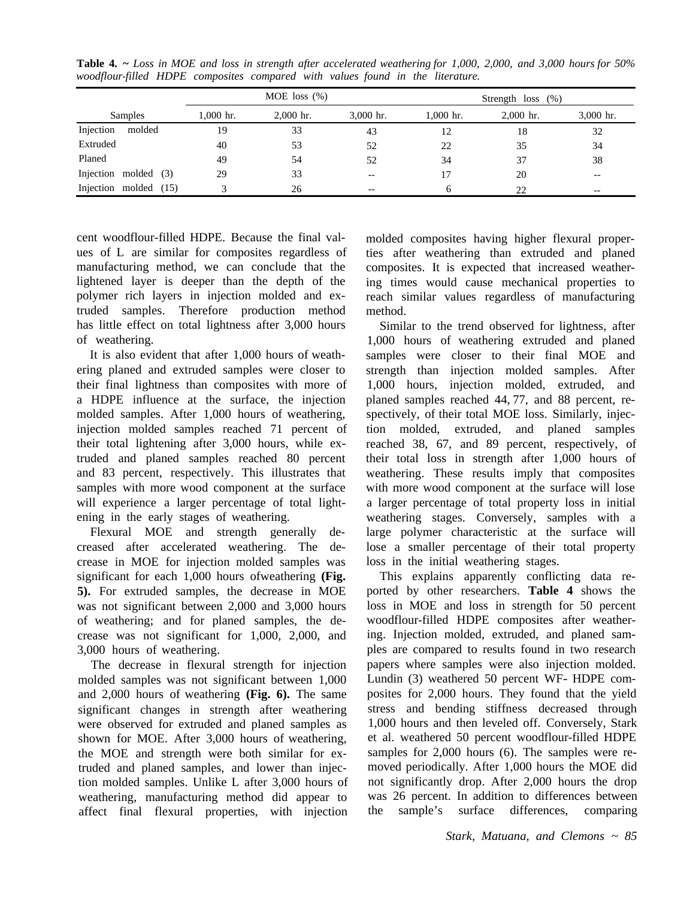|                       |        | MOE loss $(\%)$ |             |                                       |             | Strength $loss (%)$ |             |  |
|-----------------------|--------|-----------------|-------------|---------------------------------------|-------------|---------------------|-------------|--|
| Samples               |        | $1.000$ hr.     | $2,000$ hr. | $3,000$ hr.                           | $1,000$ hr. | $2,000$ hr.         | $3,000$ hr. |  |
| Injection             | molded | 19              | 33          | 43                                    | 12          | 18                  | 32          |  |
| Extruded              |        | 40              | 53          | 52                                    | 22          | 35                  | 34          |  |
| Planed                |        | 49              | 54          | 52                                    | 34          | 37                  | 38          |  |
| Injection molded (3)  |        | 29              | 33          | $- -$                                 | 17          | 20                  | $- -$       |  |
| Injection molded (15) |        |                 | 26          | $\hspace{0.05cm}$ – $\hspace{0.05cm}$ |             | 22                  | $- -$       |  |

**Table 4. ~** *Loss in MOE and loss in strength after accelerated weathering for 1,000, 2,000, and 3,000 hours for 50% woodflour-filled HDPE composites compared with values found in the literature.* 

cent woodflour-filled HDPE. Because the final values of L are similar for composites regardless of manufacturing method, we can conclude that the lightened layer is deeper than the depth of the polymer rich layers in injection molded and extruded samples. Therefore production method has little effect on total lightness after 3,000 hours of weathering.

It is also evident that after 1,000 hours of weathering planed and extruded samples were closer to their final lightness than composites with more of a HDPE influence at the surface, the injection molded samples. After 1,000 hours of weathering, injection molded samples reached 71 percent of their total lightening after 3,000 hours, while ex[truded and planed samples reached 80](#page-1-0) percent and 83 percent, respectively. This illustrates that samples with more wood component at the surface will experience a larger percentage of total lightening in the early stages of weathering.

Flexural MOE and strength generally decreased after accelerated weathering. The decrease in MOE for injection molded samples was significant for each 1,000 hours ofweathering **(Fig. 5).** For extruded samples, the decrease in MOE was not significant between 2,000 and 3,000 hours of weathering; and for planed samples, the decrease was not significant for 1,000, 2,000, and 3,000 hours of weathering.

The decrease in flexural strength for injection molded samples was not significant between 1,000 and 2,000 hours of weathering **(Fig. 6).** The same significant changes in strength after weathering were observed for extruded and planed samples as shown for MOE. After 3,000 hours of weathering, the MOE and strength were both similar for extruded and planed samples, and lower than injection molded samples. Unlike L after 3,000 hours of weathering, manufacturing method did appear to affect final flexural properties, with injection

molded composites having higher flexural properties after weathering than extruded and planed composites. It is expected that increased weathering times would cause mechanical properties to reach similar values regardless of manufacturing method.

Similar to the trend observed for lightness, after 1,000 hours of weathering extruded and planed samples were closer to their final MOE and strength than injection molded samples. After 1,000 hours, injection molded, extruded, and planed samples reached 44, 77, and 88 percent, respectively, of their total MOE loss. Similarly, injection molded, extruded, and planed samples reached 38, 67, and 89 percent, respectively, of their total loss in strength after 1,000 hours of weathering. These results imply that composites with more wood component at the surface will lose a larger percentage of total property loss in initial weathering stages. Conversely, samples with a large polymer characteristic at the surface will lose a smaller percentage of their total property loss in the initial weathering stages.

This explains apparently conflicting data reported by other researchers. **Table 4** shows the loss in MOE and loss in strength for 50 percent woodflour-filled HDPE composites after weathering. Injection molded, extruded, and planed samples are compared to results found in two research papers where samples were also injection molded. Lundin (3) weathered 50 percent WF- HDPE composites for 2,000 hours. They found that the yield stress and bending stiffness decreased through 1,000 hours and then leveled off. Conversely, Stark et al. weathered 50 percent woodflour-filled HDPE samples for 2,000 hours (6). The samples were removed periodically. After 1,000 hours the MOE did not significantly drop. After 2,000 hours the drop was 26 percent. In addition to differences between the sample's surface differences, comparing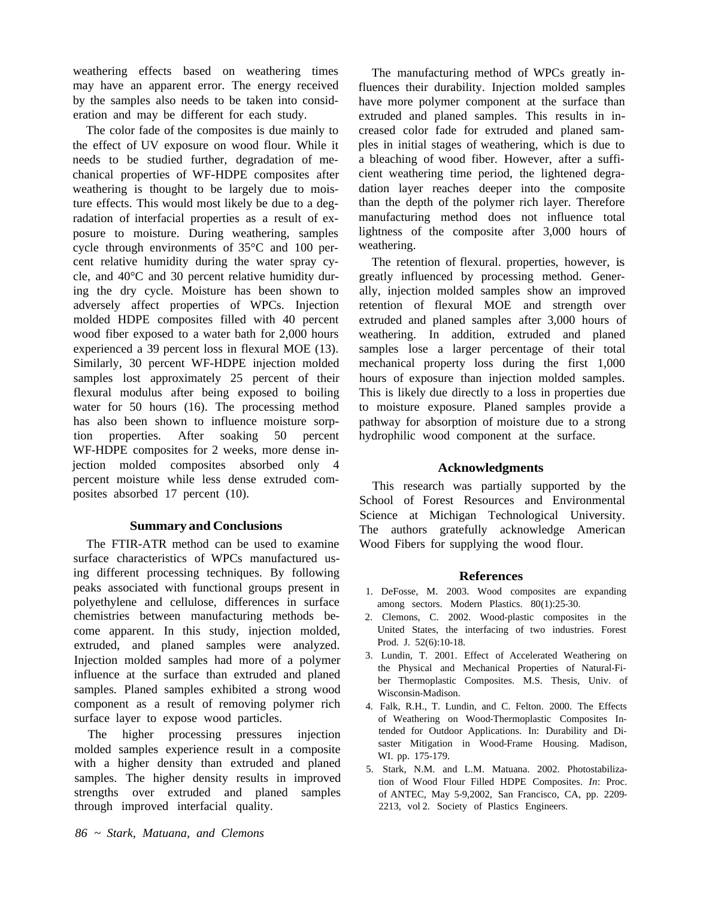weathering effects based on weathering times may have an apparent error. The energy received by the samples also needs to be taken into consideration and may be different for each study.

The color fade of the composites is due mainly to the effect of UV exposure on wood flour. While it needs to be studied further, degradation of mechanical properties of WF-HDPE composites after weathering is thought to be largely due to moisture effects. This would most likely be due to a degradation of interfacial properties as a result of exposure to moisture. During weathering, samples cycle through environments of 35°C and 100 percent relative humidity during the water spray cycle, and 40°C and 30 percent relative humidity during the dry cycle. Moisture has been shown to adversely affect properties of WPCs. Injection molded HDPE composites filled with 40 percent wood fiber exposed to a water bath for 2,000 hours experienced a 39 percent loss in flexural MOE (13). Similarly, 30 percent WF-HDPE injection molded samples lost approximately 25 percent of their flexural modulus after being exposed to boiling water for 50 hours (16). The processing method has also been shown to influence moisture sorption properties. After soaking 50 percent WF-HDPE composites for 2 weeks, more dense injection molded composites absorbed only 4 percent moisture while less dense extruded composites absorbed 17 percent (10).

## **Summary and Conclusions**

The FTIR-ATR method can be used to examine surface characteristics of WPCs manufactured using different processing techniques. By following peaks associated with functional groups present in polyethylene and cellulose, differences in surface chemistries between manufacturing methods become apparent. In this study, injection molded, extruded, and planed samples were analyzed. Injection molded samples had more of a polymer influence at the surface than extruded and planed samples. Planed samples exhibited a strong wood component as a result of removing polymer rich surface layer to expose wood particles.

The higher processing pressures injection molded samples experience result in a composite with a higher density than extruded and planed samples. The higher density results in improved strengths over extruded and planed samples through improved interfacial quality.

The manufacturing method of WPCs greatly influences their durability. Injection molded samples have more polymer component at the surface than extruded and planed samples. This results in increased color fade for extruded and planed samples in initial stages of weathering, which is due to a bleaching of wood fiber. However, after a sufficient weathering time period, the lightened degradation layer reaches deeper into the composite than the depth of the polymer rich layer. Therefore manufacturing method does not influence total lightness of the composite after 3,000 hours of weathering.

The retention of flexural. properties, however, is greatly influenced by processing method. Generally, injection molded samples show an improved retention of flexural MOE and strength over extruded and planed samples after 3,000 hours of weathering. In addition, extruded and planed samples lose a larger percentage of their total mechanical property loss during the first 1,000 hours of exposure than injection molded samples. This is likely due directly to a loss in properties due to moisture exposure. Planed samples provide a pathway for absorption of moisture due to a strong hydrophilic wood component at the surface.

## **Acknowledgments**

This research was partially supported by the School of Forest Resources and Environmental Science at Michigan Technological University. The authors gratefully acknowledge American Wood Fibers for supplying the wood flour.

# **References**

- 1. DeFosse, M. 2003. Wood composites are expanding among sectors. Modern Plastics. 80(1):25-30.
- 2. Clemons, C. 2002. Wood-plastic composites in the United States, the interfacing of two industries. Forest Prod. J. 52(6):10-18.
- 3. Lundin, T. 2001. Effect of Accelerated Weathering on the Physical and Mechanical Properties of Natural-Fiber Thermoplastic Composites. M.S. Thesis, Univ. of Wisconsin-Madison.
- 4. Falk, R.H., T. Lundin, and C. Felton. 2000. The Effects of Weathering on Wood-Thermoplastic Composites Intended for Outdoor Applications. In: Durability and Disaster Mitigation in Wood-Frame Housing. Madison, WI. pp. 175-179.
- 5. Stark, N.M. and L.M. Matuana. 2002. Photostabilization of Wood Flour Filled HDPE Composites. *In*: Proc. of ANTEC, May 5-9,2002, San Francisco, CA, pp. 2209- 2213, vol 2. Society of Plastics Engineers.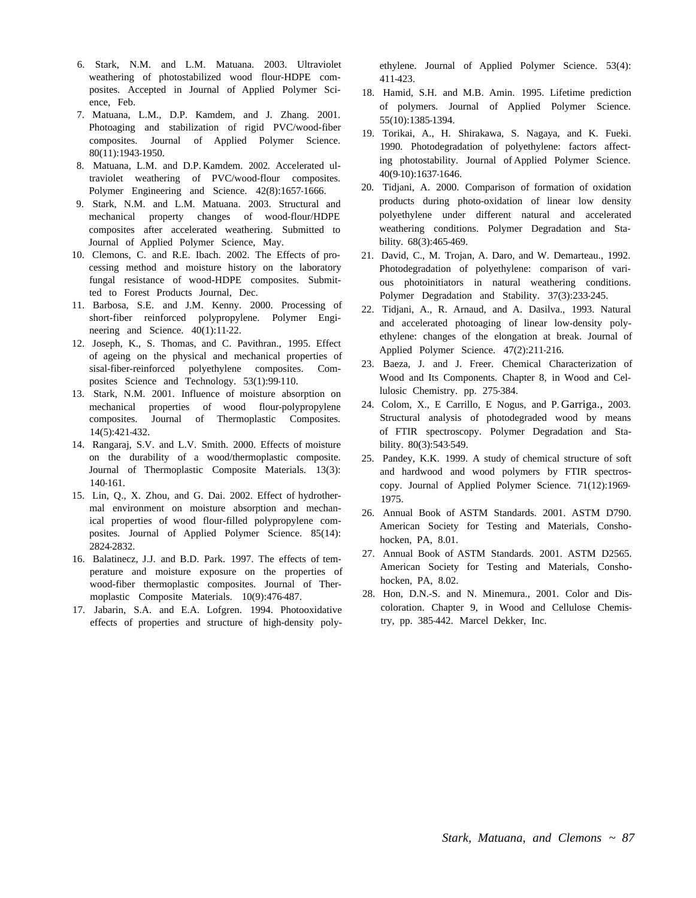- 6. Stark, N.M. and L.M. Matuana. 2003. Ultraviolet weathering of photostabilized wood flour-HDPE composites. Accepted in Journal of Applied Polymer Science, Feb.
- 7. Matuana, L.M., D.P. Kamdem, and J. Zhang. 2001. Photoaging and stabilization of rigid PVC/wood-fiber composites. Journal of Applied Polymer Science. 80(11):1943-1950.
- 8. Matuana, L.M. and D.P. Kamdem. 2002. Accelerated ultraviolet weathering of PVC/wood-flour composites. Polymer Engineering and Science. 42(8):1657-1666.
- 9. Stark, N.M. and L.M. Matuana. 2003. Structural and mechanical property changes of wood-flour/HDPE composites after accelerated weathering. Submitted to Journal of Applied Polymer Science, May.
- 10. Clemons, C. and R.E. Ibach. 2002. The Effects of processing method and moisture history on the laboratory fungal resistance of wood-HDPE composites. Submitted to Forest Products Journal, Dec.
- 11. Barbosa, S.E. and J.M. Kenny. 2000. Processing of short-fiber reinforced polypropylene. Polymer Engineering and Science. 40(1):11-22.
- 12. Joseph, K., S. Thomas, and C. Pavithran., 1995. Effect of ageing on the physical and mechanical properties of sisal-fiber-reinforced polyethylene composites. Composites Science and Technology. 53(1):99-110.
- 13. Stark, N.M. 2001. Influence of moisture absorption on mechanical properties of wood flour-polypropylene composites. Journal of Thermoplastic Composites. 14(5):421-432.
- 14. Rangaraj, S.V. and L.V. Smith. 2000. Effects of moisture on the durability of a wood/thermoplastic composite. Journal of Thermoplastic Composite Materials. 13(3): 140-161.
- 15. Lin, Q., X. Zhou, and G. Dai. 2002. Effect of hydrothermal environment on moisture absorption and mechanical properties of wood flour-filled polypropylene composites. Journal of Applied Polymer Science. 85(14): 2824-2832.
- 16. Balatinecz, J.J. and B.D. Park. 1997. The effects of temperature and moisture exposure on the properties of wood-fiber thermoplastic composites. Journal of Thermoplastic Composite Materials. 10(9):476-487.
- 17. Jabarin, S.A. and E.A. Lofgren. 1994. Photooxidative effects of properties and structure of high-density poly-

ethylene. Journal of Applied Polymer Science. 53(4): 411-423.

- 18. Hamid, S.H. and M.B. Amin. 1995. Lifetime prediction of polymers. Journal of Applied Polymer Science. 55(10):1385-1394.
- 19. Torikai, A., H. Shirakawa, S. Nagaya, and K. Fueki. 1990. Photodegradation of polyethylene: factors affecting photostability. Journal of Applied Polymer Science. 40(9-10):1637-1646.
- 20. Tidjani, A. 2000. Comparison of formation of oxidation products during photo-oxidation of linear low density polyethylene under different natural and accelerated weathering conditions. Polymer Degradation and Stability. 68(3):465-469.
- 21. David, C., M. Trojan, A. Daro, and W. Demarteau., 1992. Photodegradation of polyethylene: comparison of various photoinitiators in natural weathering conditions. Polymer Degradation and Stability. 37(3):233-245.
- 22. Tidjani, A., R. Arnaud, and A. Dasilva., 1993. Natural and accelerated photoaging of linear low-density polyethylene: changes of the elongation at break. Journal of Applied Polymer Science. 47(2):211-216.
- 23. Baeza, J. and J. Freer. Chemical Characterization of Wood and Its Components. Chapter 8, in Wood and Cellulosic Chemistry. pp. 275-384.
- 24. Colom, X., E Carrillo, E Nogus, and P. Garriga., 2003. Structural analysis of photodegraded wood by means of FTIR spectroscopy. Polymer Degradation and Stability. 80(3):543-549.
- 25. Pandey, K.K. 1999. A study of chemical structure of soft and hardwood and wood polymers by FTIR spectroscopy. Journal of Applied Polymer Science. 71(12):1969- 1975.
- 26. Annual Book of ASTM Standards. 2001. ASTM D790. American Society for Testing and Materials, Conshohocken, PA, 8.01.
- 27. Annual Book of ASTM Standards. 2001. ASTM D2565. American Society for Testing and Materials, Conshohocken, PA, 8.02.
- 28. Hon, D.N.-S. and N. Minemura., 2001. Color and Discoloration. Chapter 9, in Wood and Cellulose Chemistry, pp. 385-442. Marcel Dekker, Inc.